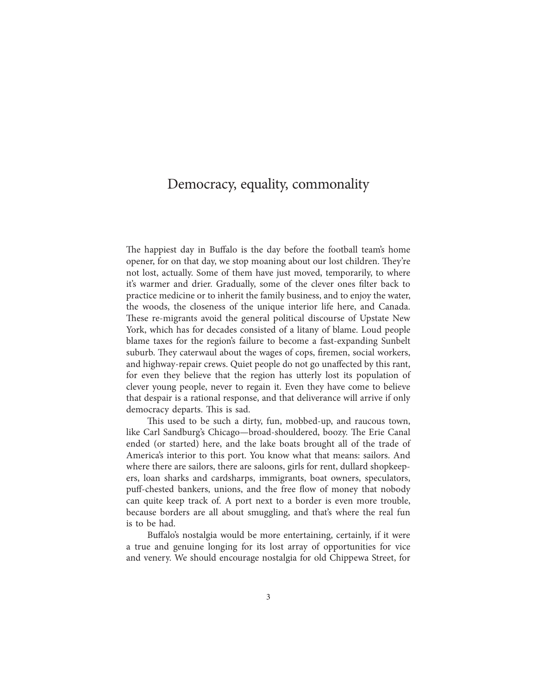## Democracy, equality, commonality

The happiest day in Buffalo is the day before the football team's home opener, for on that day, we stop moaning about our lost children. They're not lost, actually. Some of them have just moved, temporarily, to where it's warmer and drier. Gradually, some of the clever ones filter back to practice medicine or to inherit the family business, and to enjoy the water, the woods, the closeness of the unique interior life here, and Canada. These re-migrants avoid the general political discourse of Upstate New York, which has for decades consisted of a litany of blame. Loud people blame taxes for the region's failure to become a fast-expanding Sunbelt suburb. They caterwaul about the wages of cops, firemen, social workers, and highway-repair crews. Quiet people do not go unaffected by this rant, for even they believe that the region has utterly lost its population of clever young people, never to regain it. Even they have come to believe that despair is a rational response, and that deliverance will arrive if only democracy departs. This is sad.

This used to be such a dirty, fun, mobbed-up, and raucous town, like Carl Sandburg's Chicago—broad-shouldered, boozy. The Erie Canal ended (or started) here, and the lake boats brought all of the trade of America's interior to this port. You know what that means: sailors. And where there are sailors, there are saloons, girls for rent, dullard shopkeepers, loan sharks and cardsharps, immigrants, boat owners, speculators, puff-chested bankers, unions, and the free flow of money that nobody can quite keep track of. A port next to a border is even more trouble, because borders are all about smuggling, and that's where the real fun is to be had.

Buffalo's nostalgia would be more entertaining, certainly, if it were a true and genuine longing for its lost array of opportunities for vice and venery. We should encourage nostalgia for old Chippewa Street, for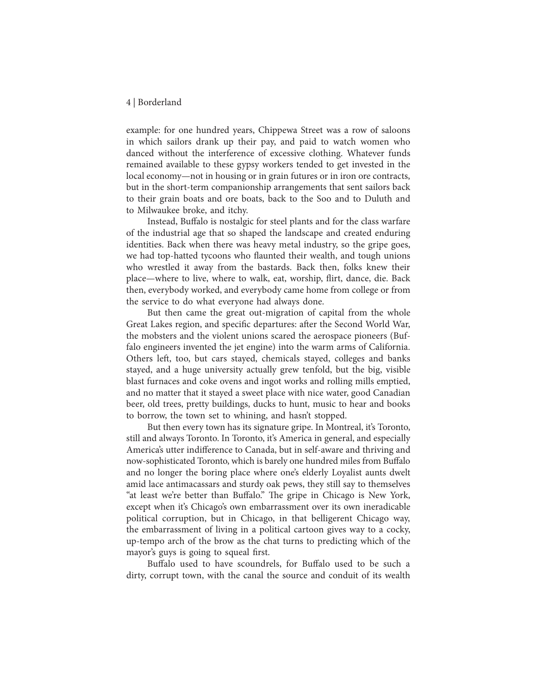## 4 | Borderland

example: for one hundred years, Chippewa Street was a row of saloons in which sailors drank up their pay, and paid to watch women who danced without the interference of excessive clothing. Whatever funds remained available to these gypsy workers tended to get invested in the local economy—not in housing or in grain futures or in iron ore contracts, but in the short-term companionship arrangements that sent sailors back to their grain boats and ore boats, back to the Soo and to Duluth and to Milwaukee broke, and itchy.

Instead, Buffalo is nostalgic for steel plants and for the class warfare of the industrial age that so shaped the landscape and created enduring identities. Back when there was heavy metal industry, so the gripe goes, we had top-hatted tycoons who flaunted their wealth, and tough unions who wrestled it away from the bastards. Back then, folks knew their place—where to live, where to walk, eat, worship, flirt, dance, die. Back then, everybody worked, and everybody came home from college or from the service to do what everyone had always done.

But then came the great out-migration of capital from the whole Great Lakes region, and specific departures: after the Second World War, the mobsters and the violent unions scared the aerospace pioneers (Buffalo engineers invented the jet engine) into the warm arms of California. Others left, too, but cars stayed, chemicals stayed, colleges and banks stayed, and a huge university actually grew tenfold, but the big, visible blast furnaces and coke ovens and ingot works and rolling mills emptied, and no matter that it stayed a sweet place with nice water, good Canadian beer, old trees, pretty buildings, ducks to hunt, music to hear and books to borrow, the town set to whining, and hasn't stopped.

But then every town has its signature gripe. In Montreal, it's Toronto, still and always Toronto. In Toronto, it's America in general, and especially America's utter indifference to Canada, but in self-aware and thriving and now-sophisticated Toronto, which is barely one hundred miles from Buffalo and no longer the boring place where one's elderly Loyalist aunts dwelt amid lace antimacassars and sturdy oak pews, they still say to themselves "at least we're better than Buffalo." The gripe in Chicago is New York, except when it's Chicago's own embarrassment over its own ineradicable political corruption, but in Chicago, in that belligerent Chicago way, the embarrassment of living in a political cartoon gives way to a cocky, up-tempo arch of the brow as the chat turns to predicting which of the mayor's guys is going to squeal first.

Buffalo used to have scoundrels, for Buffalo used to be such a dirty, corrupt town, with the canal the source and conduit of its wealth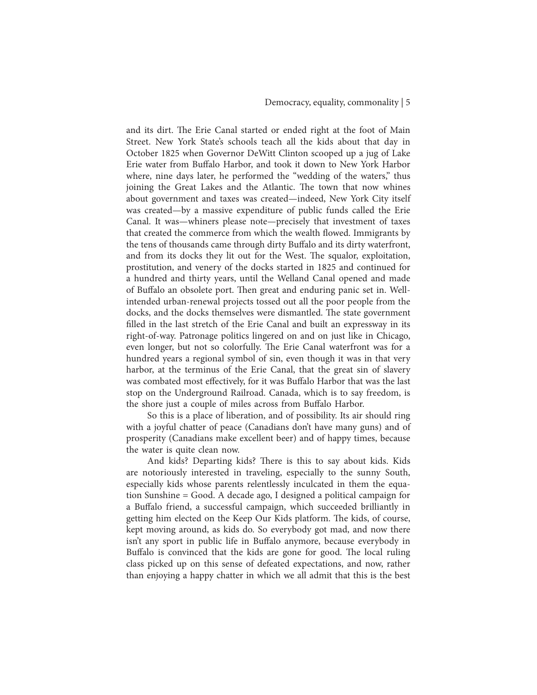and its dirt. The Erie Canal started or ended right at the foot of Main Street. New York State's schools teach all the kids about that day in October 1825 when Governor DeWitt Clinton scooped up a jug of Lake Erie water from Buffalo Harbor, and took it down to New York Harbor where, nine days later, he performed the "wedding of the waters," thus joining the Great Lakes and the Atlantic. The town that now whines about government and taxes was created—indeed, New York City itself was created—by a massive expenditure of public funds called the Erie Canal. It was—whiners please note—precisely that investment of taxes that created the commerce from which the wealth flowed. Immigrants by the tens of thousands came through dirty Buffalo and its dirty waterfront, and from its docks they lit out for the West. The squalor, exploitation, prostitution, and venery of the docks started in 1825 and continued for a hundred and thirty years, until the Welland Canal opened and made of Buffalo an obsolete port. Then great and enduring panic set in. Wellintended urban-renewal projects tossed out all the poor people from the docks, and the docks themselves were dismantled. The state government filled in the last stretch of the Erie Canal and built an expressway in its right-of-way. Patronage politics lingered on and on just like in Chicago, even longer, but not so colorfully. The Erie Canal waterfront was for a hundred years a regional symbol of sin, even though it was in that very harbor, at the terminus of the Erie Canal, that the great sin of slavery was combated most effectively, for it was Buffalo Harbor that was the last stop on the Underground Railroad. Canada, which is to say freedom, is the shore just a couple of miles across from Buffalo Harbor.

So this is a place of liberation, and of possibility. Its air should ring with a joyful chatter of peace (Canadians don't have many guns) and of prosperity (Canadians make excellent beer) and of happy times, because the water is quite clean now.

And kids? Departing kids? There is this to say about kids. Kids are notoriously interested in traveling, especially to the sunny South, especially kids whose parents relentlessly inculcated in them the equation Sunshine = Good. A decade ago, I designed a political campaign for a Buffalo friend, a successful campaign, which succeeded brilliantly in getting him elected on the Keep Our Kids platform. The kids, of course, kept moving around, as kids do. So everybody got mad, and now there isn't any sport in public life in Buffalo anymore, because everybody in Buffalo is convinced that the kids are gone for good. The local ruling class picked up on this sense of defeated expectations, and now, rather than enjoying a happy chatter in which we all admit that this is the best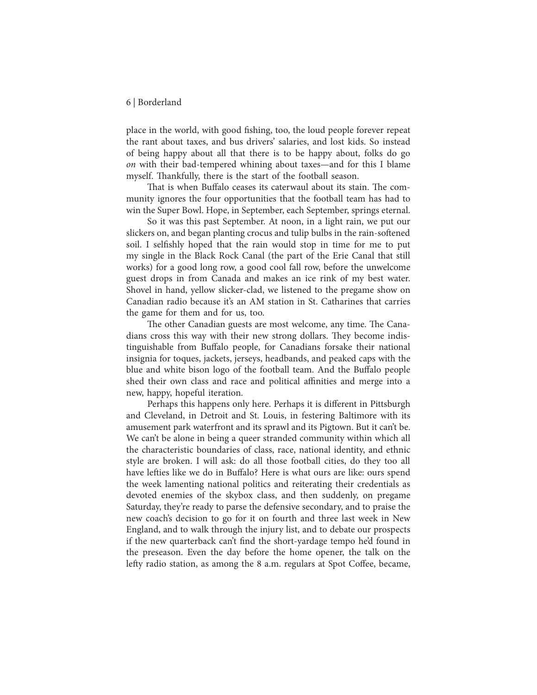## 6 | Borderland

place in the world, with good fishing, too, the loud people forever repeat the rant about taxes, and bus drivers' salaries, and lost kids. So instead of being happy about all that there is to be happy about, folks do go *on* with their bad-tempered whining about taxes—and for this I blame myself. Thankfully, there is the start of the football season.

That is when Buffalo ceases its caterwaul about its stain. The community ignores the four opportunities that the football team has had to win the Super Bowl. Hope, in September, each September, springs eternal.

So it was this past September. At noon, in a light rain, we put our slickers on, and began planting crocus and tulip bulbs in the rain-softened soil. I selfishly hoped that the rain would stop in time for me to put my single in the Black Rock Canal (the part of the Erie Canal that still works) for a good long row, a good cool fall row, before the unwelcome guest drops in from Canada and makes an ice rink of my best water. Shovel in hand, yellow slicker-clad, we listened to the pregame show on Canadian radio because it's an AM station in St. Catharines that carries the game for them and for us, too.

The other Canadian guests are most welcome, any time. The Canadians cross this way with their new strong dollars. They become indistinguishable from Buffalo people, for Canadians forsake their national insignia for toques, jackets, jerseys, headbands, and peaked caps with the blue and white bison logo of the football team. And the Buffalo people shed their own class and race and political affinities and merge into a new, happy, hopeful iteration.

Perhaps this happens only here. Perhaps it is different in Pittsburgh and Cleveland, in Detroit and St. Louis, in festering Baltimore with its amusement park waterfront and its sprawl and its Pigtown. But it can't be. We can't be alone in being a queer stranded community within which all the characteristic boundaries of class, race, national identity, and ethnic style are broken. I will ask: do all those football cities, do they too all have lefties like we do in Buffalo? Here is what ours are like: ours spend the week lamenting national politics and reiterating their credentials as devoted enemies of the skybox class, and then suddenly, on pregame Saturday, they're ready to parse the defensive secondary, and to praise the new coach's decision to go for it on fourth and three last week in New England, and to walk through the injury list, and to debate our prospects if the new quarterback can't find the short-yardage tempo he'd found in the preseason. Even the day before the home opener, the talk on the lefty radio station, as among the 8 a.m. regulars at Spot Coffee, became,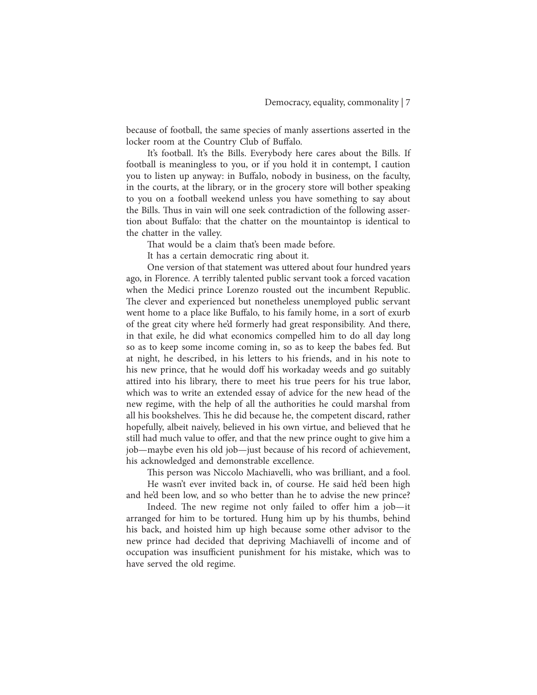because of football, the same species of manly assertions asserted in the locker room at the Country Club of Buffalo.

It's football. It's the Bills. Everybody here cares about the Bills. If football is meaningless to you, or if you hold it in contempt, I caution you to listen up anyway: in Buffalo, nobody in business, on the faculty, in the courts, at the library, or in the grocery store will bother speaking to you on a football weekend unless you have something to say about the Bills. Thus in vain will one seek contradiction of the following assertion about Buffalo: that the chatter on the mountaintop is identical to the chatter in the valley.

That would be a claim that's been made before.

It has a certain democratic ring about it.

One version of that statement was uttered about four hundred years ago, in Florence. A terribly talented public servant took a forced vacation when the Medici prince Lorenzo rousted out the incumbent Republic. The clever and experienced but nonetheless unemployed public servant went home to a place like Buffalo, to his family home, in a sort of exurb of the great city where he'd formerly had great responsibility. And there, in that exile, he did what economics compelled him to do all day long so as to keep some income coming in, so as to keep the babes fed. But at night, he described, in his letters to his friends, and in his note to his new prince, that he would doff his workaday weeds and go suitably attired into his library, there to meet his true peers for his true labor, which was to write an extended essay of advice for the new head of the new regime, with the help of all the authorities he could marshal from all his bookshelves. This he did because he, the competent discard, rather hopefully, albeit naively, believed in his own virtue, and believed that he still had much value to offer, and that the new prince ought to give him a job—maybe even his old job—just because of his record of achievement, his acknowledged and demonstrable excellence.

This person was Niccolo Machiavelli, who was brilliant, and a fool. He wasn't ever invited back in, of course. He said he'd been high and he'd been low, and so who better than he to advise the new prince?

Indeed. The new regime not only failed to offer him a job—it arranged for him to be tortured. Hung him up by his thumbs, behind his back, and hoisted him up high because some other advisor to the new prince had decided that depriving Machiavelli of income and of occupation was insufficient punishment for his mistake, which was to have served the old regime.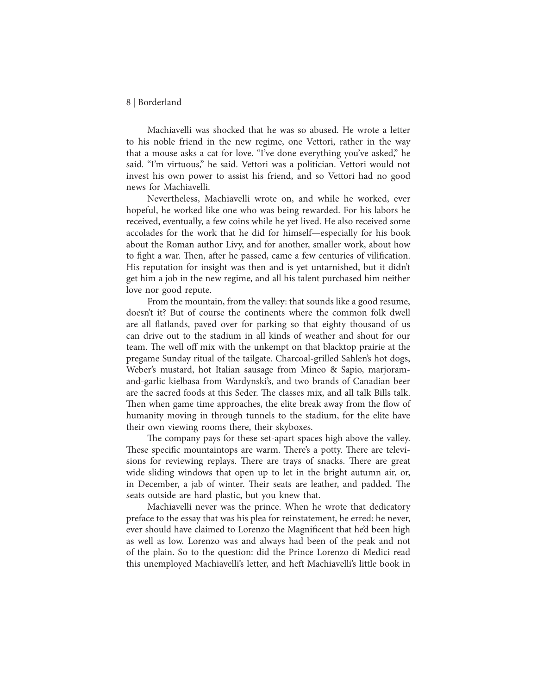## 8 | Borderland

Machiavelli was shocked that he was so abused. He wrote a letter to his noble friend in the new regime, one Vettori, rather in the way that a mouse asks a cat for love. "I've done everything you've asked," he said. "I'm virtuous," he said. Vettori was a politician. Vettori would not invest his own power to assist his friend, and so Vettori had no good news for Machiavelli.

Nevertheless, Machiavelli wrote on, and while he worked, ever hopeful, he worked like one who was being rewarded. For his labors he received, eventually, a few coins while he yet lived. He also received some accolades for the work that he did for himself—especially for his book about the Roman author Livy, and for another, smaller work, about how to fight a war. Then, after he passed, came a few centuries of vilification. His reputation for insight was then and is yet untarnished, but it didn't get him a job in the new regime, and all his talent purchased him neither love nor good repute.

From the mountain, from the valley: that sounds like a good resume, doesn't it? But of course the continents where the common folk dwell are all flatlands, paved over for parking so that eighty thousand of us can drive out to the stadium in all kinds of weather and shout for our team. The well off mix with the unkempt on that blacktop prairie at the pregame Sunday ritual of the tailgate. Charcoal-grilled Sahlen's hot dogs, Weber's mustard, hot Italian sausage from Mineo & Sapio, marjoramand-garlic kielbasa from Wardynski's, and two brands of Canadian beer are the sacred foods at this Seder. The classes mix, and all talk Bills talk. Then when game time approaches, the elite break away from the flow of humanity moving in through tunnels to the stadium, for the elite have their own viewing rooms there, their skyboxes.

The company pays for these set-apart spaces high above the valley. These specific mountaintops are warm. There's a potty. There are televisions for reviewing replays. There are trays of snacks. There are great wide sliding windows that open up to let in the bright autumn air, or, in December, a jab of winter. Their seats are leather, and padded. The seats outside are hard plastic, but you knew that.

Machiavelli never was the prince. When he wrote that dedicatory preface to the essay that was his plea for reinstatement, he erred: he never, ever should have claimed to Lorenzo the Magnificent that he'd been high as well as low. Lorenzo was and always had been of the peak and not of the plain. So to the question: did the Prince Lorenzo di Medici read this unemployed Machiavelli's letter, and heft Machiavelli's little book in